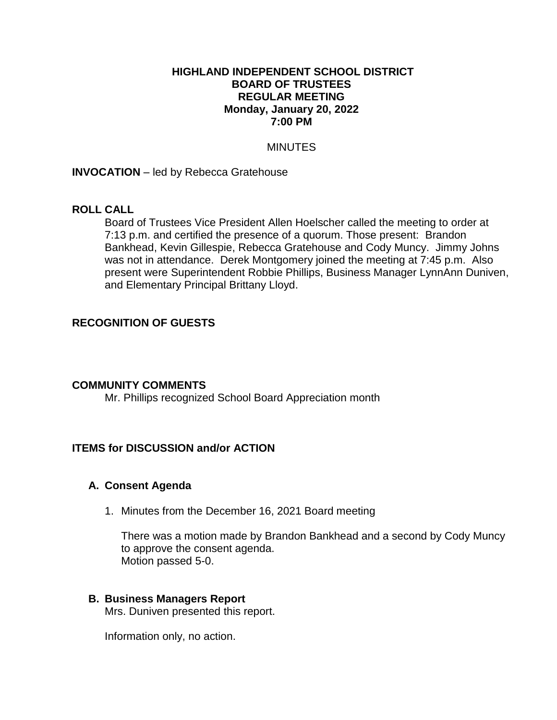## **HIGHLAND INDEPENDENT SCHOOL DISTRICT BOARD OF TRUSTEES REGULAR MEETING Monday, January 20, 2022 7:00 PM**

## MINUTES

**INVOCATION** – led by Rebecca Gratehouse

## **ROLL CALL**

Board of Trustees Vice President Allen Hoelscher called the meeting to order at 7:13 p.m. and certified the presence of a quorum. Those present: Brandon Bankhead, Kevin Gillespie, Rebecca Gratehouse and Cody Muncy. Jimmy Johns was not in attendance. Derek Montgomery joined the meeting at 7:45 p.m. Also present were Superintendent Robbie Phillips, Business Manager LynnAnn Duniven, and Elementary Principal Brittany Lloyd.

## **RECOGNITION OF GUESTS**

## **COMMUNITY COMMENTS**

Mr. Phillips recognized School Board Appreciation month

## **ITEMS for DISCUSSION and/or ACTION**

## **A. Consent Agenda**

1. Minutes from the December 16, 2021 Board meeting

There was a motion made by Brandon Bankhead and a second by Cody Muncy to approve the consent agenda. Motion passed 5-0.

# **B. Business Managers Report**

Mrs. Duniven presented this report.

Information only, no action.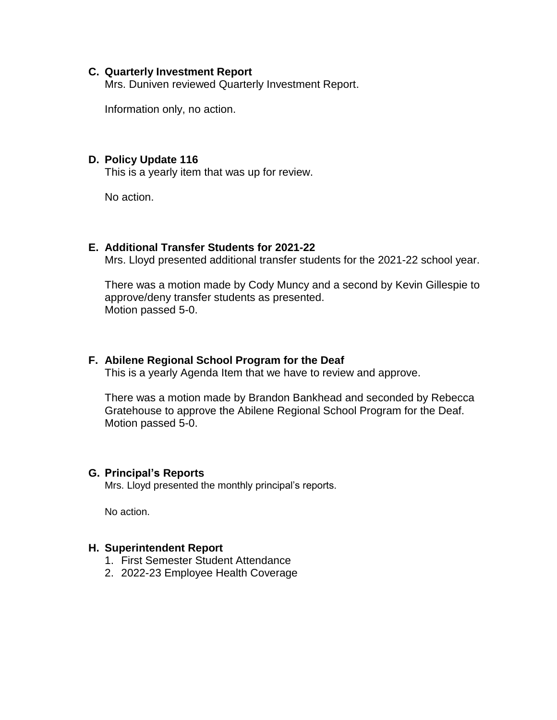#### **C. Quarterly Investment Report**

Mrs. Duniven reviewed Quarterly Investment Report.

Information only, no action.

#### **D. Policy Update 116**

This is a yearly item that was up for review.

No action.

## **E. Additional Transfer Students for 2021-22**

Mrs. Lloyd presented additional transfer students for the 2021-22 school year.

There was a motion made by Cody Muncy and a second by Kevin Gillespie to approve/deny transfer students as presented. Motion passed 5-0.

## **F. Abilene Regional School Program for the Deaf**

This is a yearly Agenda Item that we have to review and approve.

There was a motion made by Brandon Bankhead and seconded by Rebecca Gratehouse to approve the Abilene Regional School Program for the Deaf. Motion passed 5-0.

#### **G. Principal's Reports**

Mrs. Lloyd presented the monthly principal's reports.

No action.

#### **H. Superintendent Report**

- 1. First Semester Student Attendance
- 2. 2022-23 Employee Health Coverage